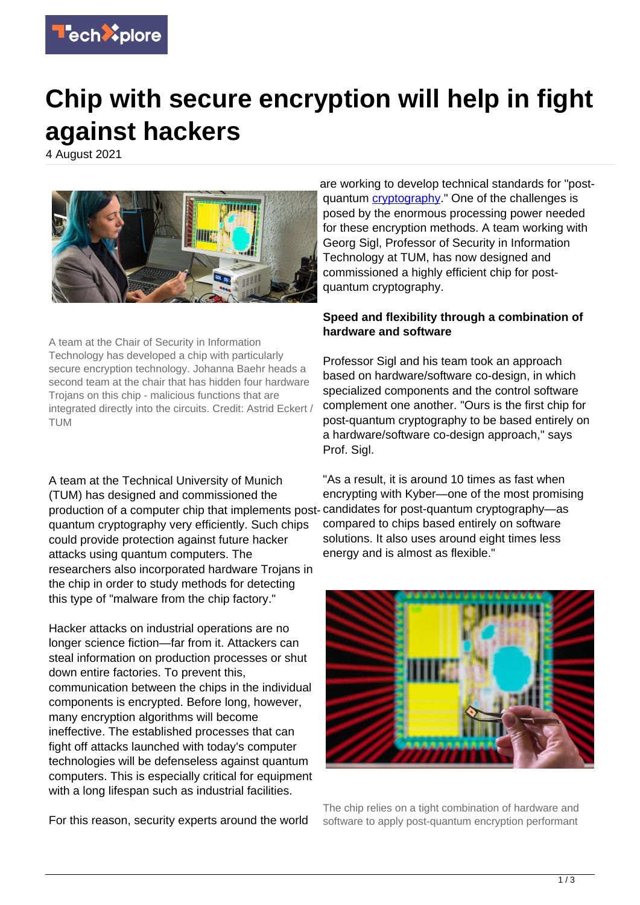

# **Chip with secure encryption will help in fight against hackers**

4 August 2021



A team at the Chair of Security in Information Technology has developed a chip with particularly secure encryption technology. Johanna Baehr heads a second team at the chair that has hidden four hardware Trojans on this chip - malicious functions that are integrated directly into the circuits. Credit: Astrid Eckert / TUM

A team at the Technical University of Munich (TUM) has designed and commissioned the production of a computer chip that implements postquantum cryptography very efficiently. Such chips could provide protection against future hacker attacks using quantum computers. The researchers also incorporated hardware Trojans in the chip in order to study methods for detecting this type of "malware from the chip factory."

Hacker attacks on industrial operations are no longer science fiction—far from it. Attackers can steal information on production processes or shut down entire factories. To prevent this, communication between the chips in the individual components is encrypted. Before long, however, many encryption algorithms will become ineffective. The established processes that can fight off attacks launched with today's computer technologies will be defenseless against quantum computers. This is especially critical for equipment with a long lifespan such as industrial facilities.

For this reason, security experts around the world

are working to develop technical standards for "postquantum [cryptography.](https://techxplore.com/tags/cryptography/)" One of the challenges is posed by the enormous processing power needed for these encryption methods. A team working with Georg Sigl, Professor of Security in Information Technology at TUM, has now designed and commissioned a highly efficient chip for postquantum cryptography.

## **Speed and flexibility through a combination of hardware and software**

Professor Sigl and his team took an approach based on hardware/software co-design, in which specialized components and the control software complement one another. "Ours is the first chip for post-quantum cryptography to be based entirely on a hardware/software co-design approach," says Prof. Sigl.

"As a result, it is around 10 times as fast when encrypting with Kyber—one of the most promising candidates for post-quantum cryptography—as compared to chips based entirely on software solutions. It also uses around eight times less energy and is almost as flexible."



The chip relies on a tight combination of hardware and software to apply post-quantum encryption performant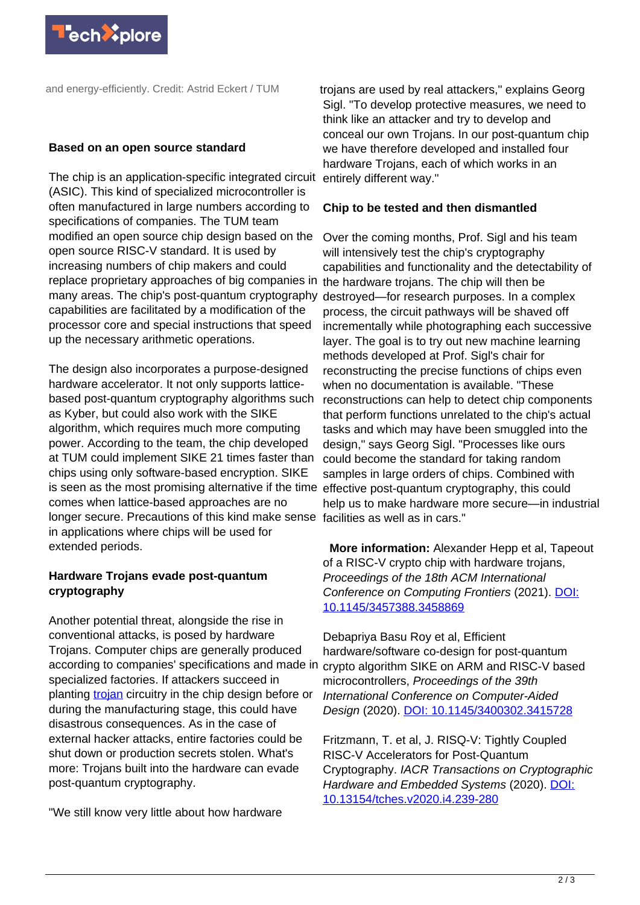

and energy-efficiently. Credit: Astrid Eckert / TUM

#### **Based on an open source standard**

The chip is an application-specific integrated circuit (ASIC). This kind of specialized microcontroller is often manufactured in large numbers according to specifications of companies. The TUM team modified an open source chip design based on the open source RISC-V standard. It is used by increasing numbers of chip makers and could replace proprietary approaches of big companies in the hardware trojans. The chip will then be many areas. The chip's post-quantum cryptography capabilities are facilitated by a modification of the processor core and special instructions that speed up the necessary arithmetic operations.

The design also incorporates a purpose-designed hardware accelerator. It not only supports latticebased post-quantum cryptography algorithms such as Kyber, but could also work with the SIKE algorithm, which requires much more computing power. According to the team, the chip developed at TUM could implement SIKE 21 times faster than chips using only software-based encryption. SIKE is seen as the most promising alternative if the time effective post-quantum cryptography, this could comes when lattice-based approaches are no longer secure. Precautions of this kind make sense facilities as well as in cars." in applications where chips will be used for extended periods.

### **Hardware Trojans evade post-quantum cryptography**

Another potential threat, alongside the rise in conventional attacks, is posed by hardware Trojans. Computer chips are generally produced according to companies' specifications and made in specialized factories. If attackers succeed in planting [trojan](https://techxplore.com/tags/trojan/) circuitry in the chip design before or during the manufacturing stage, this could have disastrous consequences. As in the case of external hacker attacks, entire factories could be shut down or production secrets stolen. What's more: Trojans built into the hardware can evade post-quantum cryptography.

"We still know very little about how hardware

trojans are used by real attackers," explains Georg Sigl. "To develop protective measures, we need to think like an attacker and try to develop and conceal our own Trojans. In our post-quantum chip we have therefore developed and installed four hardware Trojans, each of which works in an entirely different way."

#### **Chip to be tested and then dismantled**

Over the coming months, Prof. Sigl and his team will intensively test the chip's cryptography capabilities and functionality and the detectability of destroyed—for research purposes. In a complex process, the circuit pathways will be shaved off incrementally while photographing each successive layer. The goal is to try out new machine learning methods developed at Prof. Sigl's chair for reconstructing the precise functions of chips even when no documentation is available. "These reconstructions can help to detect chip components that perform functions unrelated to the chip's actual tasks and which may have been smuggled into the design," says Georg Sigl. "Processes like ours could become the standard for taking random samples in large orders of chips. Combined with help us to make hardware more secure—in industrial

 **More information:** Alexander Hepp et al, Tapeout of a RISC-V crypto chip with hardware trojans, Proceedings of the 18th ACM International Conference on Computing Frontiers (2021). [DOI:](http://dx.doi.org/10.1145/3457388.3458869) [10.1145/3457388.3458869](http://dx.doi.org/10.1145/3457388.3458869)

Debapriya Basu Roy et al, Efficient hardware/software co-design for post-quantum crypto algorithm SIKE on ARM and RISC-V based microcontrollers, Proceedings of the 39th International Conference on Computer-Aided Design (2020). [DOI: 10.1145/3400302.3415728](http://dx.doi.org/10.1145/3400302.3415728)

Fritzmann, T. et al, J. RISQ-V: Tightly Coupled RISC-V Accelerators for Post-Quantum Cryptography. IACR Transactions on Cryptographic Hardware and Embedded Systems (2020). [DOI:](http://dx.doi.org/10.13154/tches.v2020.i4.239-280) [10.13154/tches.v2020.i4.239-280](http://dx.doi.org/10.13154/tches.v2020.i4.239-280)